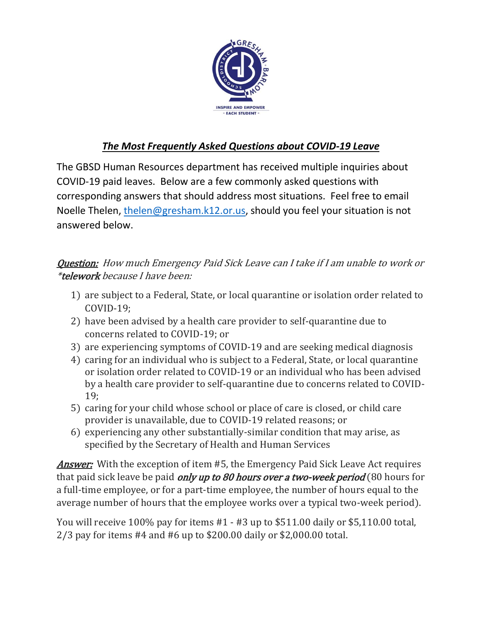

## *The Most Frequently Asked Questions about COVID-19 Leave*

The GBSD Human Resources department has received multiple inquiries about COVID-19 paid leaves. Below are a few commonly asked questions with corresponding answers that should address most situations. Feel free to email Noelle Thelen, [thelen@gresham.k12.or.us,](file:///C:/Users/mumford/Documents/COVID%2019/thelen@gresham.k12.or.us) should you feel your situation is not answered below.

## Question: How much Emergency Paid Sick Leave can I take if I am unable to work or \*telework because I have been:

- 1) are subject to a Federal, State, or local quarantine or isolation order related to COVID-19;
- 2) have been advised by a health care provider to self-quarantine due to concerns related to COVID-19; or
- 3) are experiencing symptoms of COVID-19 and are seeking medical diagnosis
- 4) caring for an individual who is subject to a Federal, State, or local quarantine or isolation order related to COVID-19 or an individual who has been advised by a health care provider to self-quarantine due to concerns related to COVID-19;
- 5) caring for your child whose school or place of care is closed, or child care provider is unavailable, due to COVID-19 related reasons; or
- 6) experiencing any other substantially-similar condition that may arise, as specified by the Secretary of Health and Human Services

**Answer:** With the exception of item #5, the Emergency Paid Sick Leave Act requires that paid sick leave be paid *only up to 80 hours over a two-week period* (80 hours for a full-time employee, or for a part-time employee, the number of hours equal to the average number of hours that the employee works over a typical two-week period).

You will receive 100% pay for items #1 - #3 up to \$511.00 daily or \$5,110.00 total, 2/3 pay for items #4 and #6 up to \$200.00 daily or \$2,000.00 total.